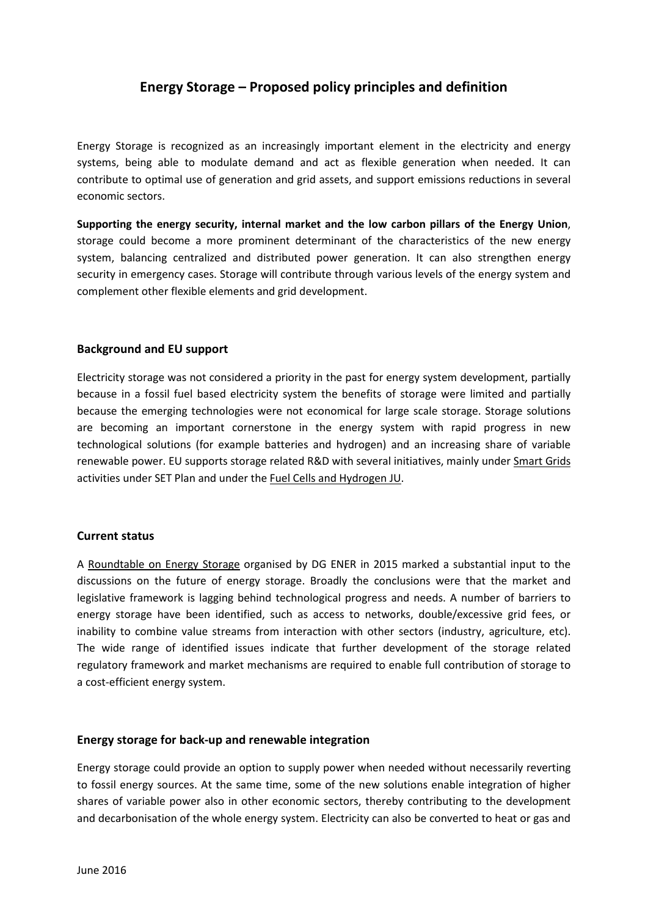# **Energy Storage – Proposed policy principles and definition**

Energy Storage is recognized as an increasingly important element in the electricity and energy systems, being able to modulate demand and act as flexible generation when needed. It can contribute to optimal use of generation and grid assets, and support emissions reductions in several economic sectors.

**Supporting the energy security, internal market and the low carbon pillars of the Energy Union**, storage could become a more prominent determinant of the characteristics of the new energy system, balancing centralized and distributed power generation. It can also strengthen energy security in emergency cases. Storage will contribute through various levels of the energy system and complement other flexible elements and grid development.

#### **Background and EU support**

Electricity storage was not considered a priority in the past for energy system development, partially because in a fossil fuel based electricity system the benefits of storage were limited and partially because the emerging technologies were not economical for large scale storage. Storage solutions are becoming an important cornerstone in the energy system with rapid progress in new technological solutions (for example batteries and hydrogen) and an increasing share of variable renewable power. EU supports storage related R&D with several initiatives, mainly under Smart Grids activities under SET Plan and under the Fuel Cells and Hydrogen JU.

#### **Current status**

A Roundtable on Energy Storage organised by DG ENER in 2015 marked a substantial input to the discussions on the future of energy storage. Broadly the conclusions were that the market and legislative framework is lagging behind technological progress and needs. A number of barriers to energy storage have been identified, such as access to networks, double/excessive grid fees, or inability to combine value streams from interaction with other sectors (industry, agriculture, etc). The wide range of identified issues indicate that further development of the storage related regulatory framework and market mechanisms are required to enable full contribution of storage to a cost-efficient energy system.

#### **Energy storage for back-up and renewable integration**

Energy storage could provide an option to supply power when needed without necessarily reverting to fossil energy sources. At the same time, some of the new solutions enable integration of higher shares of variable power also in other economic sectors, thereby contributing to the development and decarbonisation of the whole energy system. Electricity can also be converted to heat or gas and